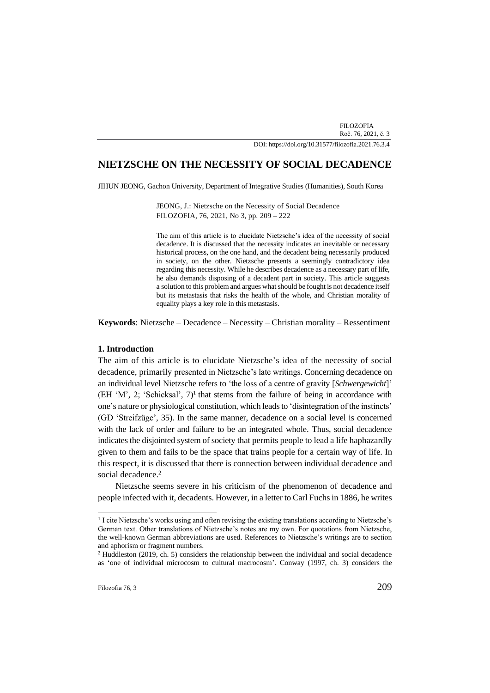FILOZOFIA Roč. 76, 2021, č. 3

DOI[: https://doi.org/10.31577/filozofia.2021.76.3.4](https://doi.org/10.31577/filozofia.2021.76.3.)

# **NIETZSCHE ON THE NECESSITY OF SOCIAL DECADENCE**

JIHUN JEONG, Gachon University, Department of Integrative Studies (Humanities), South Korea

JEONG, J.: Nietzsche on the Necessity of Social Decadence FILOZOFIA, 76, 2021, No 3, pp. 209 – 222

The aim of this article is to elucidate Nietzsche's idea of the necessity of social decadence. It is discussed that the necessity indicates an inevitable or necessary historical process, on the one hand, and the decadent being necessarily produced in society, on the other. Nietzsche presents a seemingly contradictory idea regarding this necessity. While he describes decadence as a necessary part of life, he also demands disposing of a decadent part in society. This article suggests a solution to this problem and argues what should be fought is not decadence itself but its metastasis that risks the health of the whole, and Christian morality of equality plays a key role in this metastasis.

**Keywords**: Nietzsche – Decadence – Necessity – Christian morality – Ressentiment

## **1. Introduction**

The aim of this article is to elucidate Nietzsche's idea of the necessity of social decadence, primarily presented in Nietzsche's late writings. Concerning decadence on an individual level Nietzsche refers to 'the loss of a centre of gravity [*Schwergewicht*]'  $(EH 'M', 2; 'Schicksal', 7)<sup>1</sup> that stems from the failure of being in accordance with$ one's nature or physiological constitution, which leads to 'disintegration of the instincts' (GD 'Streifzüge', 35). In the same manner, decadence on a social level is concerned with the lack of order and failure to be an integrated whole. Thus, social decadence indicates the disjointed system of society that permits people to lead a life haphazardly given to them and fails to be the space that trains people for a certain way of life. In this respect, it is discussed that there is connection between individual decadence and social decadence. 2

Nietzsche seems severe in his criticism of the phenomenon of decadence and people infected with it, decadents. However, in a letter to Carl Fuchs in 1886, he writes

<sup>&</sup>lt;sup>1</sup> I cite Nietzsche's works using and often revising the existing translations according to Nietzsche's German text. Other translations of Nietzsche's notes are my own. For quotations from Nietzsche, the well-known German abbreviations are used. References to Nietzsche's writings are to section and aphorism or fragment numbers.

 $2$  Huddleston (2019, ch. 5) considers the relationship between the individual and social decadence as 'one of individual microcosm to cultural macrocosm'. Conway (1997, ch. 3) considers the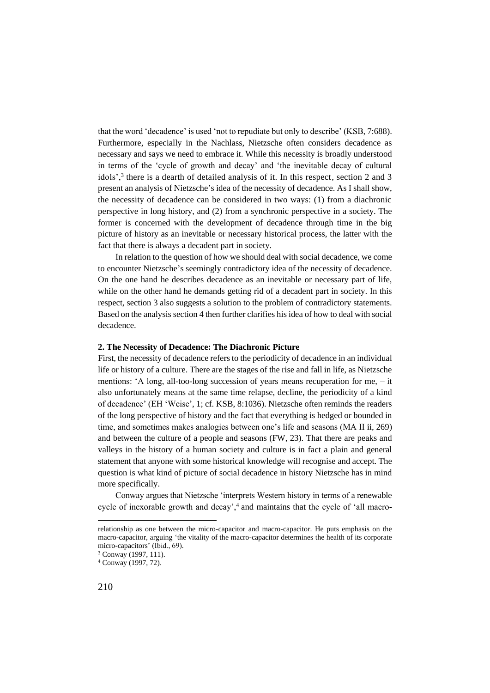that the word 'decadence' is used 'not to repudiate but only to describe' (KSB, 7:688). Furthermore, especially in the Nachlass, Nietzsche often considers decadence as necessary and says we need to embrace it. While this necessity is broadly understood in terms of the 'cycle of growth and decay' and 'the inevitable decay of cultural idols',<sup>3</sup> there is a dearth of detailed analysis of it. In this respect, section 2 and 3 present an analysis of Nietzsche's idea of the necessity of decadence. As I shall show, the necessity of decadence can be considered in two ways: (1) from a diachronic perspective in long history, and (2) from a synchronic perspective in a society. The former is concerned with the development of decadence through time in the big picture of history as an inevitable or necessary historical process, the latter with the fact that there is always a decadent part in society.

In relation to the question of how we should deal with social decadence, we come to encounter Nietzsche's seemingly contradictory idea of the necessity of decadence. On the one hand he describes decadence as an inevitable or necessary part of life, while on the other hand he demands getting rid of a decadent part in society. In this respect, section 3 also suggests a solution to the problem of contradictory statements. Based on the analysis section 4 then further clarifies his idea of how to deal with social decadence.

# **2. The Necessity of Decadence: The Diachronic Picture**

First, the necessity of decadence refers to the periodicity of decadence in an individual life or history of a culture. There are the stages of the rise and fall in life, as Nietzsche mentions: 'A long, all-too-long succession of years means recuperation for me, – it also unfortunately means at the same time relapse, decline, the periodicity of a kind of decadence' (EH 'Weise', 1; cf. KSB, 8:1036). Nietzsche often reminds the readers of the long perspective of history and the fact that everything is hedged or bounded in time, and sometimes makes analogies between one's life and seasons (MA II ii, 269) and between the culture of a people and seasons (FW, 23). That there are peaks and valleys in the history of a human society and culture is in fact a plain and general statement that anyone with some historical knowledge will recognise and accept. The question is what kind of picture of social decadence in history Nietzsche has in mind more specifically.

Conway argues that Nietzsche 'interprets Western history in terms of a renewable cycle of inexorable growth and decay',<sup>4</sup> and maintains that the cycle of 'all macro-

relationship as one between the micro-capacitor and macro-capacitor. He puts emphasis on the macro-capacitor, arguing 'the vitality of the macro-capacitor determines the health of its corporate micro-capacitors' (Ibid., 69).

<sup>3</sup> Conway (1997, 111).

<sup>4</sup> Conway (1997, 72).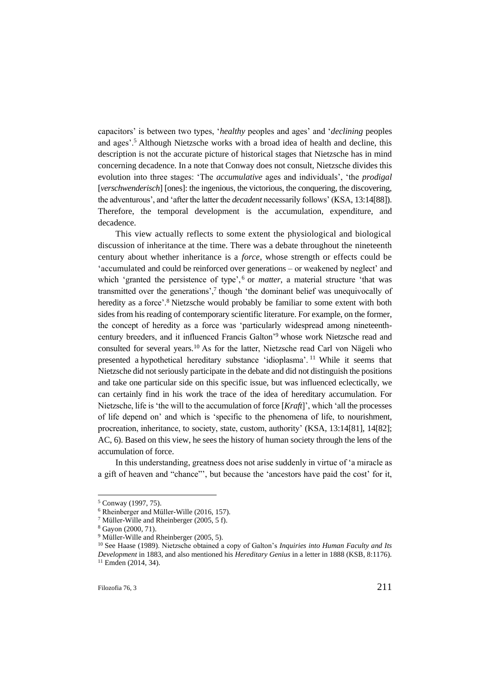capacitors' is between two types, '*healthy* peoples and ages' and '*declining* peoples and ages'.<sup>5</sup> Although Nietzsche works with a broad idea of health and decline, this description is not the accurate picture of historical stages that Nietzsche has in mind concerning decadence. In a note that Conway does not consult, Nietzsche divides this evolution into three stages: 'The *accumulative* ages and individuals', 'the *prodigal* [*verschwenderisch*] [ones]: the ingenious, the victorious, the conquering, the discovering, the adventurous', and 'after the latter the *decadent* necessarily follows' (KSA, 13:14[88]). Therefore, the temporal development is the accumulation, expenditure, and decadence.

This view actually reflects to some extent the physiological and biological discussion of inheritance at the time. There was a debate throughout the nineteenth century about whether inheritance is a *force*, whose strength or effects could be 'accumulated and could be reinforced over generations – or weakened by neglect' and which 'granted the persistence of type',<sup>6</sup> or *matter*, a material structure 'that was transmitted over the generations',<sup>7</sup> though 'the dominant belief was unequivocally of heredity as a force'.<sup>8</sup> Nietzsche would probably be familiar to some extent with both sides from his reading of contemporary scientific literature. For example, on the former, the concept of heredity as a force was 'particularly widespread among nineteenthcentury breeders, and it influenced Francis Galton'<sup>9</sup> whose work Nietzsche read and consulted for several years.<sup>10</sup> As for the latter, Nietzsche read Carl von Nägeli who presented a hypothetical hereditary substance 'idioplasma'. <sup>11</sup> While it seems that Nietzsche did not seriously participate in the debate and did not distinguish the positions and take one particular side on this specific issue, but was influenced eclectically, we can certainly find in his work the trace of the idea of hereditary accumulation. For Nietzsche, life is 'the will to the accumulation of force [*Kraft*]', which 'all the processes of life depend on' and which is 'specific to the phenomena of life, to nourishment, procreation, inheritance, to society, state, custom, authority' (KSA, 13:14[81], 14[82]; AC, 6). Based on this view, he sees the history of human society through the lens of the accumulation of force.

In this understanding, greatness does not arise suddenly in virtue of 'a miracle as a gift of heaven and "chance"', but because the 'ancestors have paid the cost' for it,

<sup>5</sup> Conway (1997, 75).

<sup>6</sup> Rheinberger and Müller-Wille (2016, 157).

<sup>7</sup> Müller-Wille and Rheinberger (2005, 5 f).

<sup>8</sup> Gayon (2000, 71).

<sup>&</sup>lt;sup>9</sup> Müller-Wille and Rheinberger (2005, 5).

<sup>10</sup> See Haase (1989). Nietzsche obtained a copy of Galton's *Inquiries into Human Faculty and Its Development* in 1883, and also mentioned his *Hereditary Genius* in a letter in 1888 (KSB, 8:1176). <sup>11</sup> Emden (2014, 34).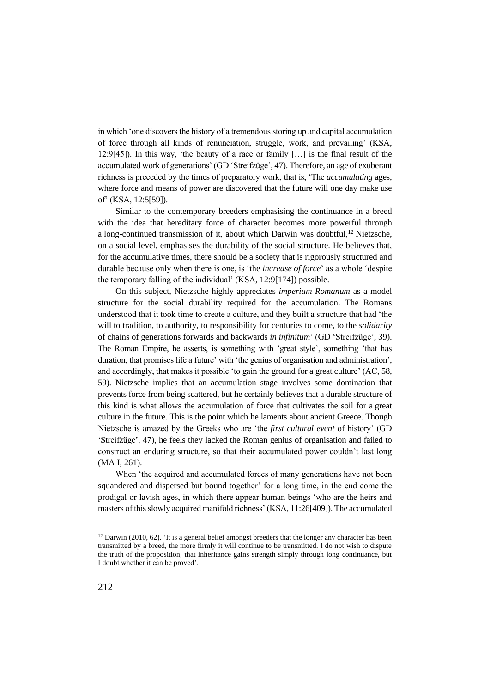in which 'one discovers the history of a tremendous storing up and capital accumulation of force through all kinds of renunciation, struggle, work, and prevailing' (KSA, 12:9[45]). In this way, 'the beauty of a race or family […] is the final result of the accumulated work of generations' (GD 'Streifzüge', 47). Therefore, an age of exuberant richness is preceded by the times of preparatory work, that is, 'The *accumulating* ages, where force and means of power are discovered that the future will one day make use of' (KSA, 12:5[59]).

Similar to the contemporary breeders emphasising the continuance in a breed with the idea that hereditary force of character becomes more powerful through a long-continued transmission of it, about which Darwin was doubtful,<sup>12</sup> Nietzsche, on a social level, emphasises the durability of the social structure. He believes that, for the accumulative times, there should be a society that is rigorously structured and durable because only when there is one, is 'the *increase of force*' as a whole 'despite the temporary falling of the individual' (KSA, 12:9[174]) possible.

On this subject, Nietzsche highly appreciates *imperium Romanum* as a model structure for the social durability required for the accumulation. The Romans understood that it took time to create a culture, and they built a structure that had 'the will to tradition, to authority, to responsibility for centuries to come, to the *solidarity* of chains of generations forwards and backwards *in infinitum*' (GD 'Streifzüge', 39). The Roman Empire, he asserts, is something with 'great style', something 'that has duration, that promises life a future' with 'the genius of organisation and administration', and accordingly, that makes it possible 'to gain the ground for a great culture' (AC, 58, 59). Nietzsche implies that an accumulation stage involves some domination that prevents force from being scattered, but he certainly believes that a durable structure of this kind is what allows the accumulation of force that cultivates the soil for a great culture in the future. This is the point which he laments about ancient Greece. Though Nietzsche is amazed by the Greeks who are 'the *first cultural event* of history' (GD 'Streifzüge', 47), he feels they lacked the Roman genius of organisation and failed to construct an enduring structure, so that their accumulated power couldn't last long (MA I, 261).

When 'the acquired and accumulated forces of many generations have not been squandered and dispersed but bound together' for a long time, in the end come the prodigal or lavish ages, in which there appear human beings 'who are the heirs and masters of this slowly acquired manifold richness' (KSA, 11:26[409]). The accumulated

 $12$  Darwin (2010, 62). 'It is a general belief amongst breeders that the longer any character has been transmitted by a breed, the more firmly it will continue to be transmitted. I do not wish to dispute the truth of the proposition, that inheritance gains strength simply through long continuance, but I doubt whether it can be proved'.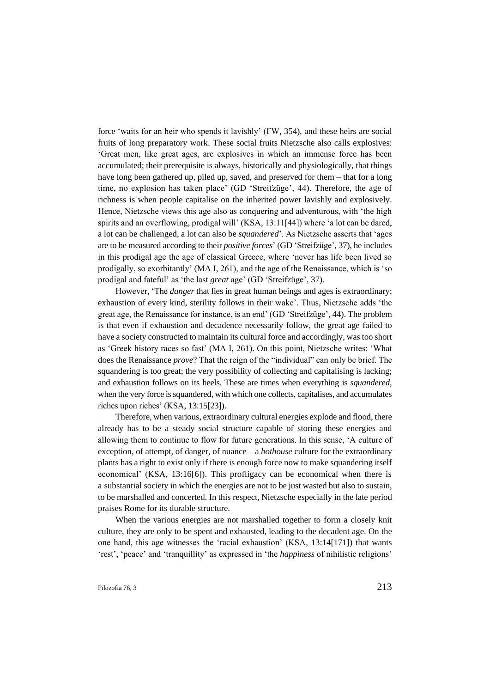force 'waits for an heir who spends it lavishly' (FW, 354), and these heirs are social fruits of long preparatory work. These social fruits Nietzsche also calls explosives: 'Great men, like great ages, are explosives in which an immense force has been accumulated; their prerequisite is always, historically and physiologically, that things have long been gathered up, piled up, saved, and preserved for them – that for a long time, no explosion has taken place' (GD 'Streifzüge', 44). Therefore, the age of richness is when people capitalise on the inherited power lavishly and explosively. Hence, Nietzsche views this age also as conquering and adventurous, with 'the high spirits and an overflowing, prodigal will' (KSA, 13:11[44]) where 'a lot can be dared, a lot can be challenged, a lot can also be *squandered*'. As Nietzsche asserts that 'ages are to be measured according to their *positive forces*' (GD 'Streifzüge', 37), he includes in this prodigal age the age of classical Greece, where 'never has life been lived so prodigally, so exorbitantly' (MA I, 261), and the age of the Renaissance, which is 'so prodigal and fateful' as 'the last *great* age' (GD 'Streifzüge', 37).

However, 'The *danger* that lies in great human beings and ages is extraordinary; exhaustion of every kind, sterility follows in their wake'. Thus, Nietzsche adds 'the great age, the Renaissance for instance, is an end' (GD 'Streifzüge', 44). The problem is that even if exhaustion and decadence necessarily follow, the great age failed to have a society constructed to maintain its cultural force and accordingly, was too short as 'Greek history races so fast' (MA I, 261). On this point, Nietzsche writes: 'What does the Renaissance *prove*? That the reign of the "individual" can only be brief. The squandering is too great; the very possibility of collecting and capitalising is lacking; and exhaustion follows on its heels. These are times when everything is *squandered*, when the very force is squandered, with which one collects, capitalises, and accumulates riches upon riches' (KSA, 13:15[23]).

Therefore, when various, extraordinary cultural energies explode and flood, there already has to be a steady social structure capable of storing these energies and allowing them to continue to flow for future generations. In this sense, 'A culture of exception, of attempt, of danger, of nuance – a *hothouse* culture for the extraordinary plants has a right to exist only if there is enough force now to make squandering itself economical' (KSA, 13:16[6]). This profligacy can be economical when there is a substantial society in which the energies are not to be just wasted but also to sustain, to be marshalled and concerted. In this respect, Nietzsche especially in the late period praises Rome for its durable structure.

When the various energies are not marshalled together to form a closely knit culture, they are only to be spent and exhausted, leading to the decadent age. On the one hand, this age witnesses the 'racial exhaustion' (KSA, 13:14[171]) that wants 'rest', 'peace' and 'tranquillity' as expressed in 'the *happiness* of nihilistic religions'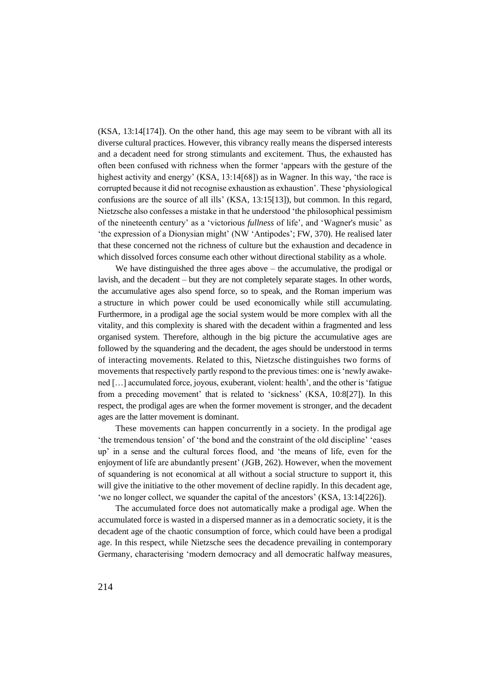(KSA, 13:14[174]). On the other hand, this age may seem to be vibrant with all its diverse cultural practices. However, this vibrancy really means the dispersed interests and a decadent need for strong stimulants and excitement. Thus, the exhausted has often been confused with richness when the former 'appears with the gesture of the highest activity and energy' (KSA, 13:14[68]) as in Wagner. In this way, 'the race is corrupted because it did not recognise exhaustion as exhaustion'. These 'physiological confusions are the source of all ills' (KSA, 13:15[13]), but common. In this regard, Nietzsche also confesses a mistake in that he understood 'the philosophical pessimism of the nineteenth century' as a 'victorious *fullness* of life', and 'Wagner's music' as 'the expression of a Dionysian might' (NW 'Antipodes'; FW, 370). He realised later that these concerned not the richness of culture but the exhaustion and decadence in which dissolved forces consume each other without directional stability as a whole.

We have distinguished the three ages above – the accumulative, the prodigal or lavish, and the decadent – but they are not completely separate stages. In other words, the accumulative ages also spend force, so to speak, and the Roman imperium was a structure in which power could be used economically while still accumulating. Furthermore, in a prodigal age the social system would be more complex with all the vitality, and this complexity is shared with the decadent within a fragmented and less organised system. Therefore, although in the big picture the accumulative ages are followed by the squandering and the decadent, the ages should be understood in terms of interacting movements. Related to this, Nietzsche distinguishes two forms of movements that respectively partly respond to the previous times: one is 'newly awakened […] accumulated force, joyous, exuberant, violent: health', and the other is 'fatigue from a preceding movement' that is related to 'sickness' (KSA, 10:8[27]). In this respect, the prodigal ages are when the former movement is stronger, and the decadent ages are the latter movement is dominant.

These movements can happen concurrently in a society. In the prodigal age 'the tremendous tension' of 'the bond and the constraint of the old discipline' 'eases up' in a sense and the cultural forces flood, and 'the means of life, even for the enjoyment of life are abundantly present' (JGB, 262). However, when the movement of squandering is not economical at all without a social structure to support it, this will give the initiative to the other movement of decline rapidly. In this decadent age, 'we no longer collect, we squander the capital of the ancestors' (KSA, 13:14[226]).

The accumulated force does not automatically make a prodigal age. When the accumulated force is wasted in a dispersed manner as in a democratic society, it is the decadent age of the chaotic consumption of force, which could have been a prodigal age. In this respect, while Nietzsche sees the decadence prevailing in contemporary Germany, characterising 'modern democracy and all democratic halfway measures,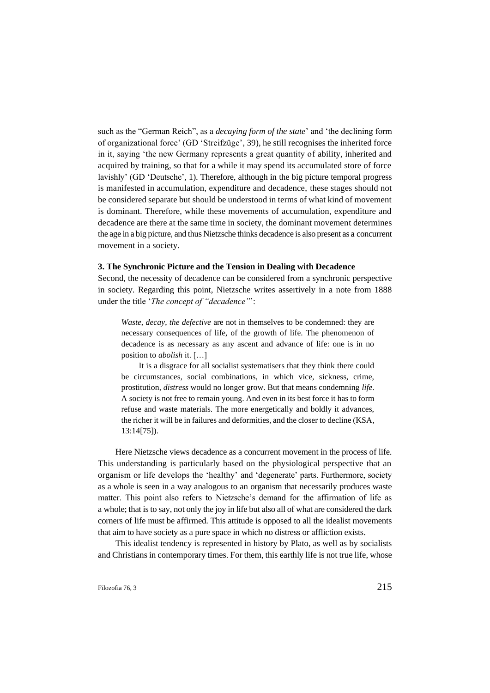such as the "German Reich", as a *decaying form of the state*' and 'the declining form of organizational force' (GD 'Streifzüge', 39), he still recognises the inherited force in it, saying 'the new Germany represents a great quantity of ability, inherited and acquired by training, so that for a while it may spend its accumulated store of force lavishly' (GD 'Deutsche', 1). Therefore, although in the big picture temporal progress is manifested in accumulation, expenditure and decadence, these stages should not be considered separate but should be understood in terms of what kind of movement is dominant. Therefore, while these movements of accumulation, expenditure and decadence are there at the same time in society, the dominant movement determines the age in a big picture, and thus Nietzsche thinks decadence is also present as a concurrent movement in a society.

#### **3. The Synchronic Picture and the Tension in Dealing with Decadence**

Second, the necessity of decadence can be considered from a synchronic perspective in society. Regarding this point, Nietzsche writes assertively in a note from 1888 under the title '*The concept of "decadence"*':

*Waste*, *decay*, *the defective* are not in themselves to be condemned: they are necessary consequences of life, of the growth of life. The phenomenon of decadence is as necessary as any ascent and advance of life: one is in no position to *abolish* it. […]

It is a disgrace for all socialist systematisers that they think there could be circumstances, social combinations, in which vice, sickness, crime, prostitution, *distress* would no longer grow. But that means condemning *life*. A society is not free to remain young. And even in its best force it has to form refuse and waste materials. The more energetically and boldly it advances, the richer it will be in failures and deformities, and the closer to decline (KSA, 13:14[75]).

Here Nietzsche views decadence as a concurrent movement in the process of life. This understanding is particularly based on the physiological perspective that an organism or life develops the 'healthy' and 'degenerate' parts. Furthermore, society as a whole is seen in a way analogous to an organism that necessarily produces waste matter. This point also refers to Nietzsche's demand for the affirmation of life as a whole; that is to say, not only the joy in life but also all of what are considered the dark corners of life must be affirmed. This attitude is opposed to all the idealist movements that aim to have society as a pure space in which no distress or affliction exists.

This idealist tendency is represented in history by Plato, as well as by socialists and Christians in contemporary times. For them, this earthly life is not true life, whose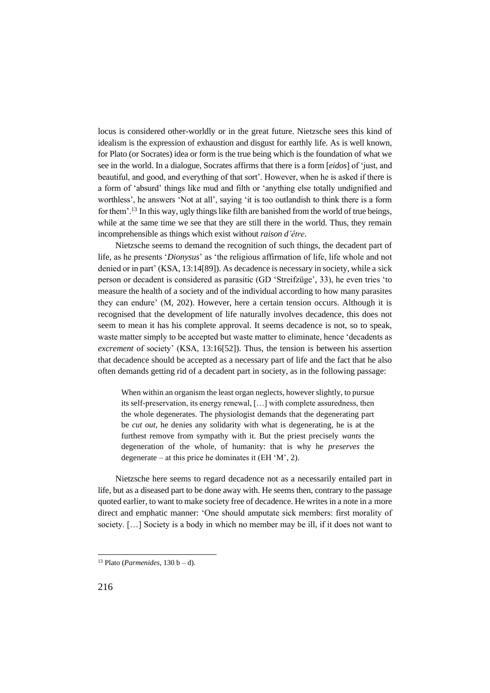locus is considered other-worldly or in the great future. Nietzsche sees this kind of idealism is the expression of exhaustion and disgust for earthly life. As is well known, for Plato (or Socrates) idea or form is the true being which is the foundation of what we see in the world. In a dialogue, Socrates affirms that there is a form [*eidos*] of 'just, and beautiful, and good, and everything of that sort'. However, when he is asked if there is a form of 'absurd' things like mud and filth or 'anything else totally undignified and worthless', he answers 'Not at all', saying 'it is too outlandish to think there is a form for them'.<sup>13</sup> In this way, ugly things like filth are banished from the world of true beings, while at the same time we see that they are still there in the world. Thus, they remain incomprehensible as things which exist without *raison d'être*.

Nietzsche seems to demand the recognition of such things, the decadent part of life, as he presents '*Dionysus*' as 'the religious affirmation of life, life whole and not denied or in part' (KSA, 13:14[89]). As decadence is necessary in society, while a sick person or decadent is considered as parasitic (GD 'Streifzüge', 33), he even tries 'to measure the health of a society and of the individual according to how many parasites they can endure' (M, 202). However, here a certain tension occurs. Although it is recognised that the development of life naturally involves decadence, this does not seem to mean it has his complete approval. It seems decadence is not, so to speak, waste matter simply to be accepted but waste matter to eliminate, hence 'decadents as *excrement* of society' (KSA, 13:16[52]). Thus, the tension is between his assertion that decadence should be accepted as a necessary part of life and the fact that he also often demands getting rid of a decadent part in society, as in the following passage:

When within an organism the least organ neglects, however slightly, to pursue its self-preservation, its energy renewal, […] with complete assuredness, then the whole degenerates. The physiologist demands that the degenerating part be *cut out*, he denies any solidarity with what is degenerating, he is at the furthest remove from sympathy with it. But the priest precisely *wants* the degeneration of the whole, of humanity: that is why he *preserves* the degenerate – at this price he dominates it  $(EH 'M', 2)$ .

Nietzsche here seems to regard decadence not as a necessarily entailed part in life, but as a diseased part to be done away with. He seems then, contrary to the passage quoted earlier, to want to make society free of decadence. He writes in a note in a more direct and emphatic manner: 'One should amputate sick members: first morality of society. […] Society is a body in which no member may be ill, if it does not want to

<sup>&</sup>lt;sup>13</sup> Plato (*Parmenides*,  $130 b - d$ ).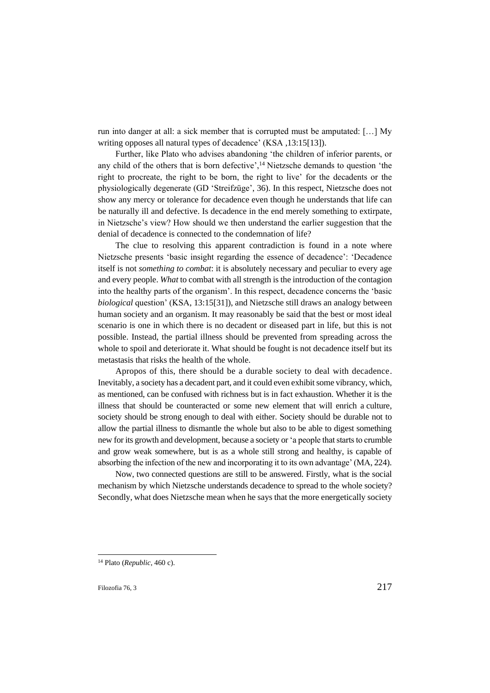run into danger at all: a sick member that is corrupted must be amputated: […] My writing opposes all natural types of decadence' (KSA ,13:15[13]).

Further, like Plato who advises abandoning 'the children of inferior parents, or any child of the others that is born defective',<sup>14</sup> Nietzsche demands to question 'the right to procreate, the right to be born, the right to live' for the decadents or the physiologically degenerate (GD 'Streifzüge', 36). In this respect, Nietzsche does not show any mercy or tolerance for decadence even though he understands that life can be naturally ill and defective. Is decadence in the end merely something to extirpate, in Nietzsche's view? How should we then understand the earlier suggestion that the denial of decadence is connected to the condemnation of life?

The clue to resolving this apparent contradiction is found in a note where Nietzsche presents 'basic insight regarding the essence of decadence': 'Decadence itself is not *something to combat*: it is absolutely necessary and peculiar to every age and every people. *What* to combat with all strength is the introduction of the contagion into the healthy parts of the organism'. In this respect, decadence concerns the 'basic *biological* question' (KSA, 13:15[31]), and Nietzsche still draws an analogy between human society and an organism. It may reasonably be said that the best or most ideal scenario is one in which there is no decadent or diseased part in life, but this is not possible. Instead, the partial illness should be prevented from spreading across the whole to spoil and deteriorate it. What should be fought is not decadence itself but its metastasis that risks the health of the whole.

Apropos of this, there should be a durable society to deal with decadence. Inevitably, a society has a decadent part, and it could even exhibit some vibrancy, which, as mentioned, can be confused with richness but is in fact exhaustion. Whether it is the illness that should be counteracted or some new element that will enrich a culture, society should be strong enough to deal with either. Society should be durable not to allow the partial illness to dismantle the whole but also to be able to digest something new for its growth and development, because a society or 'a people that starts to crumble and grow weak somewhere, but is as a whole still strong and healthy, is capable of absorbing the infection of the new and incorporating it to its own advantage' (MA, 224).

Now, two connected questions are still to be answered. Firstly, what is the social mechanism by which Nietzsche understands decadence to spread to the whole society? Secondly, what does Nietzsche mean when he says that the more energetically society

<sup>14</sup> Plato (*Republic*, 460 c).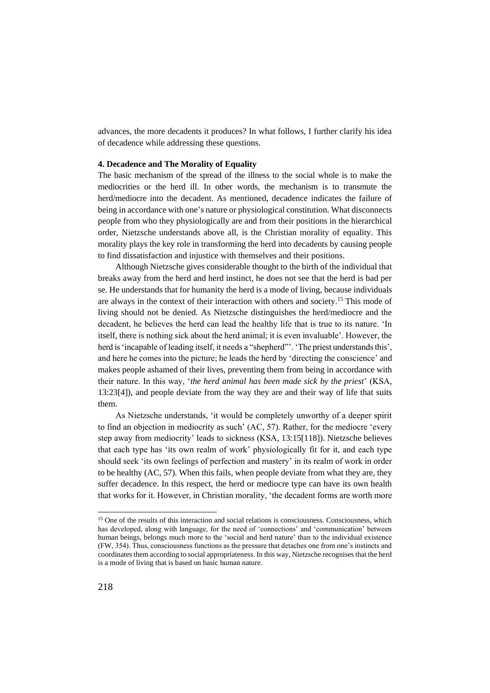advances, the more decadents it produces? In what follows, I further clarify his idea of decadence while addressing these questions.

#### **4. Decadence and The Morality of Equality**

The basic mechanism of the spread of the illness to the social whole is to make the mediocrities or the herd ill. In other words, the mechanism is to transmute the herd/mediocre into the decadent. As mentioned, decadence indicates the failure of being in accordance with one's nature or physiological constitution. What disconnects people from who they physiologically are and from their positions in the hierarchical order, Nietzsche understands above all, is the Christian morality of equality. This morality plays the key role in transforming the herd into decadents by causing people to find dissatisfaction and injustice with themselves and their positions.

Although Nietzsche gives considerable thought to the birth of the individual that breaks away from the herd and herd instinct, he does not see that the herd is bad per se. He understands that for humanity the herd is a mode of living, because individuals are always in the context of their interaction with others and society.<sup>15</sup> This mode of living should not be denied. As Nietzsche distinguishes the herd/mediocre and the decadent, he believes the herd can lead the healthy life that is true to its nature. 'In itself, there is nothing sick about the herd animal; it is even invaluable'. However, the herd is 'incapable of leading itself, it needs a "shepherd"'. 'The priest understands this', and here he comes into the picture; he leads the herd by 'directing the conscience' and makes people ashamed of their lives, preventing them from being in accordance with their nature. In this way, '*the herd animal has been made sick by the priest*' (KSA, 13:23[4]), and people deviate from the way they are and their way of life that suits them.

As Nietzsche understands, 'it would be completely unworthy of a deeper spirit to find an objection in mediocrity as such' (AC, 57). Rather, for the mediocre 'every step away from mediocrity' leads to sickness (KSA, 13:15[118]). Nietzsche believes that each type has 'its own realm of work' physiologically fit for it, and each type should seek 'its own feelings of perfection and mastery' in its realm of work in order to be healthy (AC, 57). When this fails, when people deviate from what they are, they suffer decadence. In this respect, the herd or mediocre type can have its own health that works for it. However, in Christian morality, 'the decadent forms are worth more

<sup>&</sup>lt;sup>15</sup> One of the results of this interaction and social relations is consciousness. Consciousness, which has developed, along with language, for the need of 'connections' and 'communication' between human beings, belongs much more to the 'social and herd nature' than to the individual existence (FW, 354). Thus, consciousness functions as the pressure that detaches one from one's instincts and coordinates them according to social appropriateness. In this way, Nietzsche recognises that the herd is a mode of living that is based on basic human nature.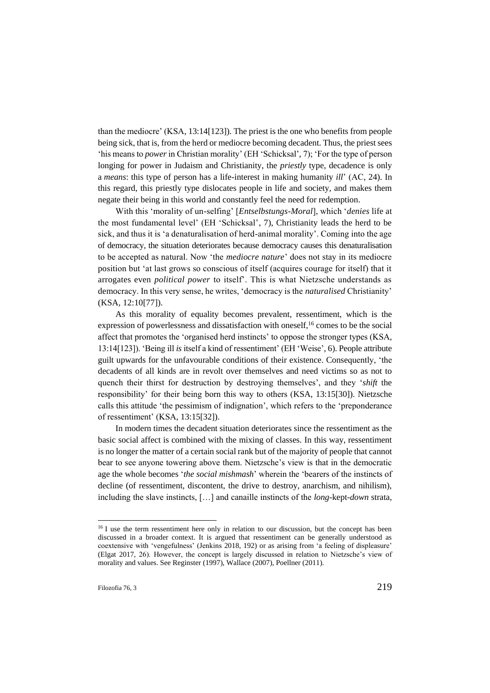than the mediocre' (KSA, 13:14[123]). The priest is the one who benefits from people being sick, that is, from the herd or mediocre becoming decadent. Thus, the priest sees 'his means to *power*in Christian morality' (EH 'Schicksal', 7); 'For the type of person longing for power in Judaism and Christianity, the *priestly* type, decadence is only a *means*: this type of person has a life-interest in making humanity *ill*' (AC, 24). In this regard, this priestly type dislocates people in life and society, and makes them negate their being in this world and constantly feel the need for redemption.

With this 'morality of un-selfing' [*Entselbstungs-Moral*], which '*denies* life at the most fundamental level' (EH 'Schicksal', 7), Christianity leads the herd to be sick, and thus it is 'a denaturalisation of herd-animal morality'. Coming into the age of democracy, the situation deteriorates because democracy causes this denaturalisation to be accepted as natural. Now 'the *mediocre nature*' does not stay in its mediocre position but 'at last grows so conscious of itself (acquires courage for itself) that it arrogates even *political power* to itself'. This is what Nietzsche understands as democracy. In this very sense, he writes, 'democracy is the *naturalised* Christianity' (KSA, 12:10[77]).

As this morality of equality becomes prevalent, ressentiment, which is the expression of powerlessness and dissatisfaction with oneself.<sup>16</sup> comes to be the social affect that promotes the 'organised herd instincts' to oppose the stronger types (KSA, 13:14[123]). 'Being ill *is* itself a kind of ressentiment' (EH 'Weise', 6). People attribute guilt upwards for the unfavourable conditions of their existence. Consequently, 'the decadents of all kinds are in revolt over themselves and need victims so as not to quench their thirst for destruction by destroying themselves', and they '*shift* the responsibility' for their being born this way to others (KSA, 13:15[30]). Nietzsche calls this attitude 'the pessimism of indignation', which refers to the 'preponderance of ressentiment' (KSA, 13:15[32]).

In modern times the decadent situation deteriorates since the ressentiment as the basic social affect is combined with the mixing of classes. In this way, ressentiment is no longer the matter of a certain social rank but of the majority of people that cannot bear to see anyone towering above them. Nietzsche's view is that in the democratic age the whole becomes '*the social mishmash*' wherein the 'bearers of the instincts of decline (of ressentiment, discontent, the drive to destroy, anarchism, and nihilism), including the slave instincts, […] and canaille instincts of the *long*-kept-*down* strata,

<sup>&</sup>lt;sup>16</sup> I use the term ressentiment here only in relation to our discussion, but the concept has been discussed in a broader context. It is argued that ressentiment can be generally understood as coextensive with 'vengefulness' (Jenkins 2018, 192) or as arising from 'a feeling of displeasure' (Elgat 2017, 26). However, the concept is largely discussed in relation to Nietzsche's view of morality and values. See Reginster (1997), Wallace (2007), Poellner (2011).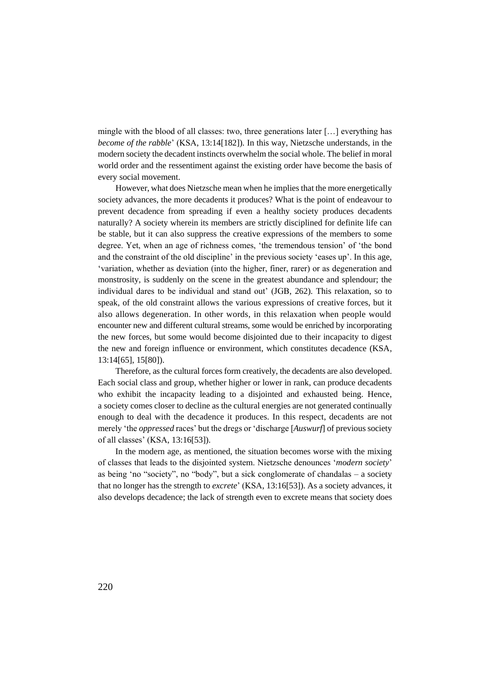mingle with the blood of all classes: two, three generations later […] everything has *become of the rabble*' (KSA, 13:14[182]). In this way, Nietzsche understands, in the modern society the decadent instincts overwhelm the social whole. The belief in moral world order and the ressentiment against the existing order have become the basis of every social movement.

However, what does Nietzsche mean when he implies that the more energetically society advances, the more decadents it produces? What is the point of endeavour to prevent decadence from spreading if even a healthy society produces decadents naturally? A society wherein its members are strictly disciplined for definite life can be stable, but it can also suppress the creative expressions of the members to some degree. Yet, when an age of richness comes, 'the tremendous tension' of 'the bond and the constraint of the old discipline' in the previous society 'eases up'. In this age, 'variation, whether as deviation (into the higher, finer, rarer) or as degeneration and monstrosity, is suddenly on the scene in the greatest abundance and splendour; the individual dares to be individual and stand out' (JGB, 262). This relaxation, so to speak, of the old constraint allows the various expressions of creative forces, but it also allows degeneration. In other words, in this relaxation when people would encounter new and different cultural streams, some would be enriched by incorporating the new forces, but some would become disjointed due to their incapacity to digest the new and foreign influence or environment, which constitutes decadence (KSA, 13:14[65], 15[80]).

Therefore, as the cultural forces form creatively, the decadents are also developed. Each social class and group, whether higher or lower in rank, can produce decadents who exhibit the incapacity leading to a disjointed and exhausted being. Hence, a society comes closer to decline as the cultural energies are not generated continually enough to deal with the decadence it produces. In this respect, decadents are not merely 'the *oppressed* races' but the dregs or 'discharge [*Auswurf*] of previous society of all classes' (KSA, 13:16[53]).

In the modern age, as mentioned, the situation becomes worse with the mixing of classes that leads to the disjointed system. Nietzsche denounces '*modern society*' as being 'no "society", no "body", but a sick conglomerate of chandalas – a society that no longer has the strength to *excrete*' (KSA, 13:16[53]). As a society advances, it also develops decadence; the lack of strength even to excrete means that society does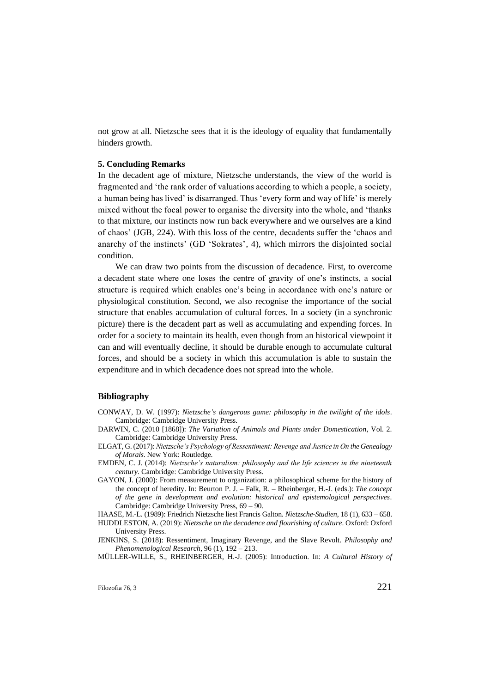not grow at all. Nietzsche sees that it is the ideology of equality that fundamentally hinders growth.

### **5. Concluding Remarks**

In the decadent age of mixture, Nietzsche understands, the view of the world is fragmented and 'the rank order of valuations according to which a people, a society, a human being has lived' is disarranged. Thus 'every form and way of life' is merely mixed without the focal power to organise the diversity into the whole, and 'thanks to that mixture, our instincts now run back everywhere and we ourselves are a kind of chaos' (JGB, 224). With this loss of the centre, decadents suffer the 'chaos and anarchy of the instincts' (GD 'Sokrates', 4), which mirrors the disjointed social condition.

We can draw two points from the discussion of decadence. First, to overcome a decadent state where one loses the centre of gravity of one's instincts, a social structure is required which enables one's being in accordance with one's nature or physiological constitution. Second, we also recognise the importance of the social structure that enables accumulation of cultural forces. In a society (in a synchronic picture) there is the decadent part as well as accumulating and expending forces. In order for a society to maintain its health, even though from an historical viewpoint it can and will eventually decline, it should be durable enough to accumulate cultural forces, and should be a society in which this accumulation is able to sustain the expenditure and in which decadence does not spread into the whole.

### **Bibliography**

- CONWAY, D. W. (1997): *Nietzsche's dangerous game: philosophy in the twilight of the idols*. Cambridge: Cambridge University Press.
- DARWIN, C. (2010 [1868]): *The Variation of Animals and Plants under Domestication*, Vol. 2. Cambridge: Cambridge University Press.
- ELGAT, G. (2017): *Nietzsche's Psychology of Ressentiment: Revenge and Justice in On the Genealogy of Morals*. New York: Routledge.
- EMDEN, C. J. (2014): *Nietzsche's naturalism: philosophy and the life sciences in the nineteenth century*. Cambridge: Cambridge University Press.
- GAYON, J. (2000): From measurement to organization: a philosophical scheme for the history of the concept of heredity. In: Beurton P. J. – Falk, R. – Rheinberger, H.-J. (eds.): *The concept of the gene in development and evolution: historical and epistemological perspectives*. Cambridge: Cambridge University Press, 69 – 90.
- HAASE, M.-L. (1989): Friedrich Nietzsche liest Francis Galton. *Nietzsche-Studien*, 18 (1), 633 658. HUDDLESTON, A. (2019): *Nietzsche on the decadence and flourishing of culture*. Oxford: Oxford University Press.
- JENKINS, S. (2018): Ressentiment, Imaginary Revenge, and the Slave Revolt. *Philosophy and Phenomenological Research*, 96 (1), 192 – 213.

MÜLLER-WILLE, S., RHEINBERGER, H.-J. (2005): Introduction. In: *A Cultural History of*